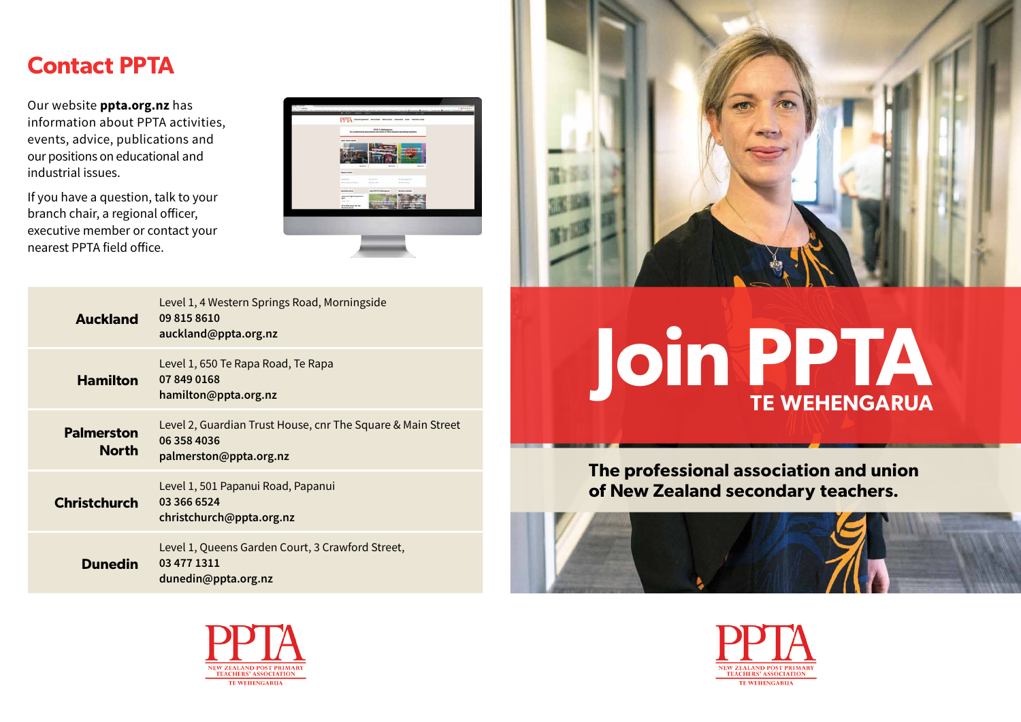## **Contact PPTA**

Our website **ppta.org.nz** has information about PPTA activities, events, advice, publications and our positions on educational and industrial issues.

If you have a question, talk to your branch chair, a regional officer, executive member or contact your nearest PPTA field office.



| <b>Auckland</b>                   | Level 1, 4 Western Springs Road, Morningside<br>09 815 8610<br>auckland@ppta.org.nz                  |
|-----------------------------------|------------------------------------------------------------------------------------------------------|
| <b>Hamilton</b>                   | Level 1, 650 Te Rapa Road, Te Rapa<br>07 849 0168<br>hamilton@ppta.org.nz                            |
| <b>Palmerston</b><br><b>North</b> | Level 2, Guardian Trust House, cnr The Square & Main Street<br>06 358 4036<br>palmerston@ppta.org.nz |
| <b>Christchurch</b>               | Level 1, 501 Papanui Road, Papanui<br>03 366 6524<br>christchurch@ppta.org.nz                        |
| <b>Dunedin</b>                    | Level 1, Queens Garden Court, 3 Crawford Street,<br>03 477 1311<br>dunedin@ppta.org.nz               |





# **Join PPTA TE WEHENGARUA**

**The professional association and union of New Zealand secondary teachers.**